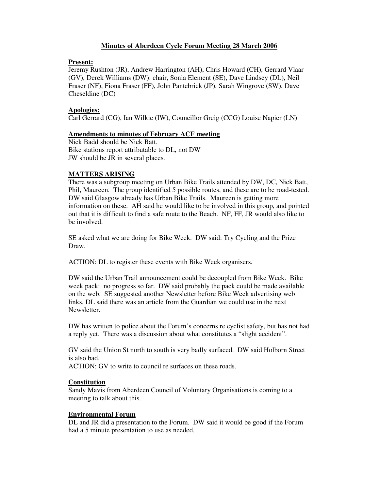# **Minutes of Aberdeen Cycle Forum Meeting 28 March 2006**

## **Present:**

Jeremy Rushton (JR), Andrew Harrington (AH), Chris Howard (CH), Gerrard Vlaar (GV), Derek Williams (DW): chair, Sonia Element (SE), Dave Lindsey (DL), Neil Fraser (NF), Fiona Fraser (FF), John Pantebrick (JP), Sarah Wingrove (SW), Dave Cheseldine (DC)

# **Apologies:**

Carl Gerrard (CG), Ian Wilkie (IW), Councillor Greig (CCG) Louise Napier (LN)

# **Amendments to minutes of February ACF meeting**

Nick Badd should be Nick Batt. Bike stations report attributable to DL, not DW JW should be JR in several places.

# **MATTERS ARISING**

There was a subgroup meeting on Urban Bike Trails attended by DW, DC, Nick Batt, Phil, Maureen. The group identified 5 possible routes, and these are to be road-tested. DW said Glasgow already has Urban Bike Trails. Maureen is getting more information on these. AH said he would like to be involved in this group, and pointed out that it is difficult to find a safe route to the Beach. NF, FF, JR would also like to be involved.

SE asked what we are doing for Bike Week. DW said: Try Cycling and the Prize Draw.

ACTION: DL to register these events with Bike Week organisers.

DW said the Urban Trail announcement could be decoupled from Bike Week. Bike week pack: no progress so far. DW said probably the pack could be made available on the web. SE suggested another Newsletter before Bike Week advertising web links. DL said there was an article from the Guardian we could use in the next Newsletter.

DW has written to police about the Forum's concerns re cyclist safety, but has not had a reply yet. There was a discussion about what constitutes a "slight accident".

GV said the Union St north to south is very badly surfaced. DW said Holborn Street is also bad.

ACTION: GV to write to council re surfaces on these roads.

## **Constitution**

Sandy Mavis from Aberdeen Council of Voluntary Organisations is coming to a meeting to talk about this.

## **Environmental Forum**

DL and JR did a presentation to the Forum. DW said it would be good if the Forum had a 5 minute presentation to use as needed.